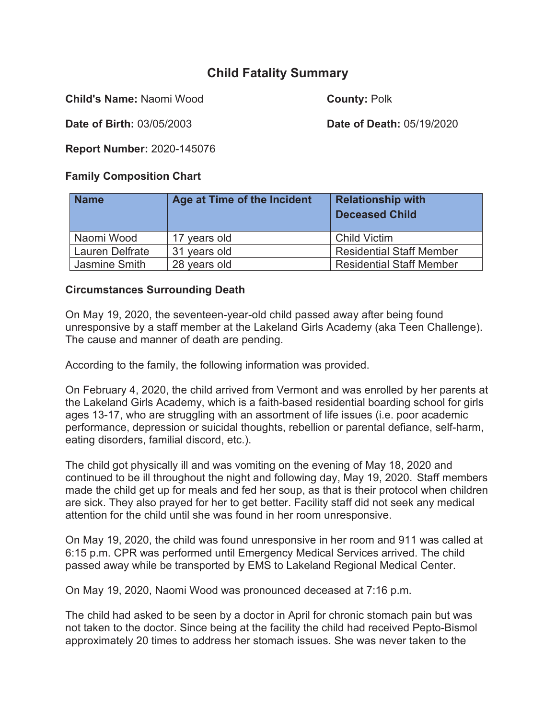# **Child Fatality Summary**

**Child's Name:** Naomi Wood **County: Polk** 

**Date of Birth:** 03/05/2003 **Date of Death:** 05/19/2020

**Report Number:** 2020-145076

## **Family Composition Chart**

| <b>Name</b>     | Age at Time of the Incident | <b>Relationship with</b><br><b>Deceased Child</b> |
|-----------------|-----------------------------|---------------------------------------------------|
| Naomi Wood      | 17 years old                | <b>Child Victim</b>                               |
| Lauren Delfrate | 31 years old                | <b>Residential Staff Member</b>                   |
| Jasmine Smith   | 28 years old                | <b>Residential Staff Member</b>                   |

### **Circumstances Surrounding Death**

On May 19, 2020, the seventeen-year-old child passed away after being found unresponsive by a staff member at the Lakeland Girls Academy (aka Teen Challenge). The cause and manner of death are pending.

According to the family, the following information was provided.

On February 4, 2020, the child arrived from Vermont and was enrolled by her parents at the Lakeland Girls Academy, which is a faith-based residential boarding school for girls ages 13-17, who are struggling with an assortment of life issues (i.e. poor academic performance, depression or suicidal thoughts, rebellion or parental defiance, self-harm, eating disorders, familial discord, etc.).

The child got physically ill and was vomiting on the evening of May 18, 2020 and continued to be ill throughout the night and following day, May 19, 2020. Staff members made the child get up for meals and fed her soup, as that is their protocol when children are sick. They also prayed for her to get better. Facility staff did not seek any medical attention for the child until she was found in her room unresponsive.

On May 19, 2020, the child was found unresponsive in her room and 911 was called at 6:15 p.m. CPR was performed until Emergency Medical Services arrived. The child passed away while be transported by EMS to Lakeland Regional Medical Center.

On May 19, 2020, Naomi Wood was pronounced deceased at 7:16 p.m.

The child had asked to be seen by a doctor in April for chronic stomach pain but was not taken to the doctor. Since being at the facility the child had received Pepto-Bismol approximately 20 times to address her stomach issues. She was never taken to the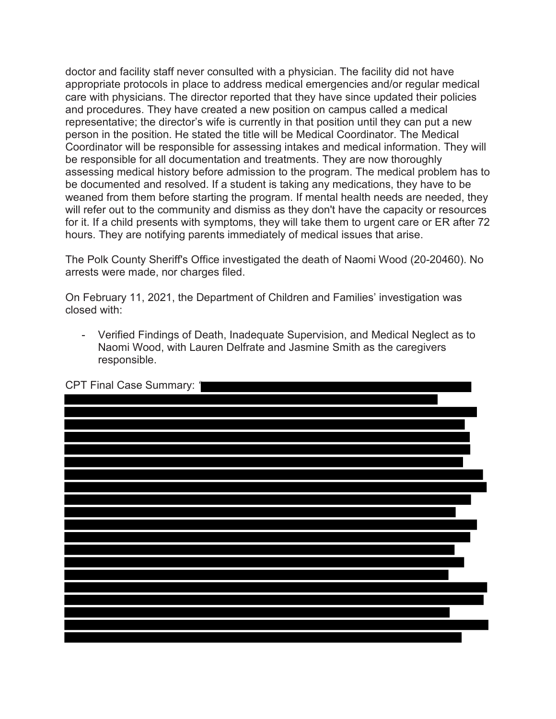doctor and facility staff never consulted with a physician. The facility did not have appropriate protocols in place to address medical emergencies and/or regular medical care with physicians. The director reported that they have since updated their policies and procedures. They have created a new position on campus called a medical representative; the director's wife is currently in that position until they can put a new person in the position. He stated the title will be Medical Coordinator. The Medical Coordinator will be responsible for assessing intakes and medical information. They will be responsible for all documentation and treatments. They are now thoroughly assessing medical history before admission to the program. The medical problem has to be documented and resolved. If a student is taking any medications, they have to be weaned from them before starting the program. If mental health needs are needed, they will refer out to the community and dismiss as they don't have the capacity or resources for it. If a child presents with symptoms, they will take them to urgent care or ER after 72 hours. They are notifying parents immediately of medical issues that arise.

The Polk County Sheriff's Office investigated the death of Naomi Wood (20-20460). No arrests were made, nor charges filed.

On February 11, 2021, the Department of Children and Families' investigation was closed with:

- Verified Findings of Death, Inadequate Supervision, and Medical Neglect as to Naomi Wood, with Lauren Delfrate and Jasmine Smith as the caregivers responsible.

| CPT Final Case Summary: 1 |
|---------------------------|
|                           |
|                           |
|                           |
|                           |
|                           |
|                           |
|                           |
|                           |
|                           |
|                           |
|                           |
|                           |
|                           |
|                           |
|                           |
|                           |
|                           |
|                           |
|                           |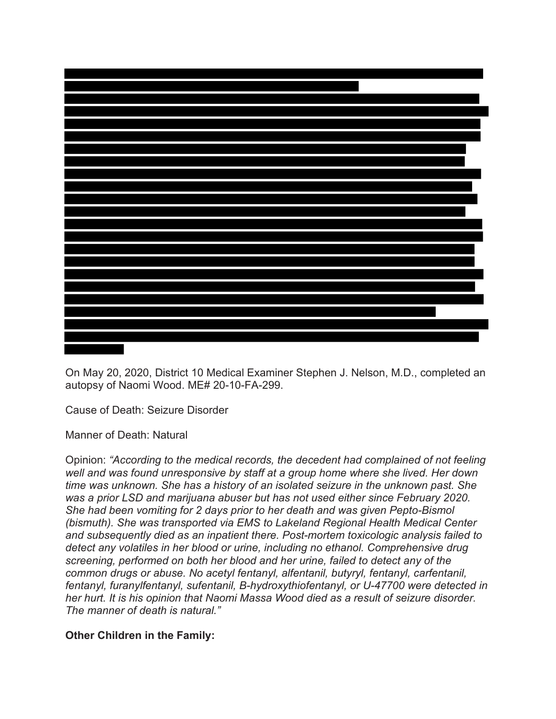

On May 20, 2020, District 10 Medical Examiner Stephen J. Nelson, M.D., completed an autopsy of Naomi Wood. ME# 20-10-FA-299.

Cause of Death: Seizure Disorder

Manner of Death: Natural

Opinion: *"According to the medical records, the decedent had complained of not feeling well and was found unresponsive by staff at a group home where she lived. Her down time was unknown. She has a history of an isolated seizure in the unknown past. She was a prior LSD and marijuana abuser but has not used either since February 2020. She had been vomiting for 2 days prior to her death and was given Pepto-Bismol (bismuth). She was transported via EMS to Lakeland Regional Health Medical Center and subsequently died as an inpatient there. Post-mortem toxicologic analysis failed to detect any volatiles in her blood or urine, including no ethanol. Comprehensive drug screening, performed on both her blood and her urine, failed to detect any of the common drugs or abuse. No acetyl fentanyl, alfentanil, butyryl, fentanyl, carfentanil, fentanyl, furanylfentanyl, sufentanil, B-hydroxythiofentanyl, or U-47700 were detected in her hurt. It is his opinion that Naomi Massa Wood died as a result of seizure disorder. The manner of death is natural."* 

#### **Other Children in the Family:**